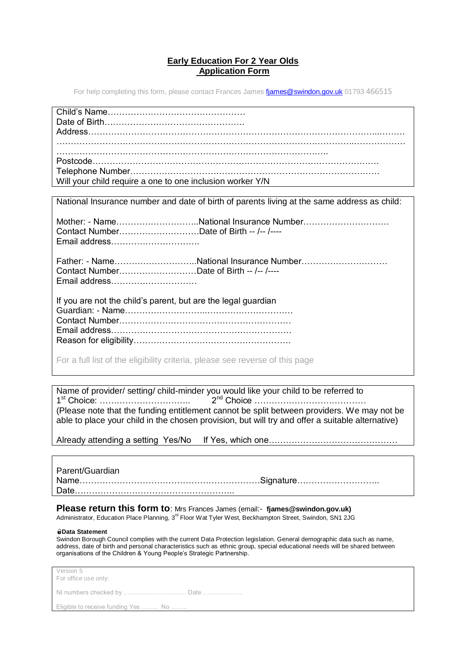## **Early Education For 2 Year Olds Application Form**

For help completing this form, please contact Frances James fiames@swindon.gov.uk 01793 466515

| Will your child require a one to one inclusion worker Y/N                                            |
|------------------------------------------------------------------------------------------------------|
|                                                                                                      |
| National Insurance number and date of birth of parents living at the same address as child:          |
| Mother: - NameNational Insurance Number<br>Contact NumberDate of Birth -- /-- /----<br>Email address |
| Contact NumberDate of Birth -- /-- /----<br>Email address                                            |
| If you are not the child's parent, but are the legal guardian                                        |
|                                                                                                      |

For a full list of the eligibility criteria, please see reverse of this page

Name of provider/ setting/ child-minder you would like your child to be referred to 1 st Choice: ………………………….. 2nd Choice ………………………………… (Please note that the funding entitlement cannot be split between providers. We may not be able to place your child in the chosen provision, but will try and offer a suitable alternative)

Already attending a setting Yes/No If Yes, which one………………………………………

Parent/Guardian Name………………………………………………………Signature……………………….. Date………………………………………………..

**Please return this form to**: Mrs Frances James (email:- **fjames@swindon.gov.uk)** Administrator, Education Place Planning, 3<sup>rd</sup> Floor Wat Tyler West, Beckhampton Street, Swindon, SN1 2JG

## **Data Statement**

Swindon Borough Council complies with the current Data Protection legislation. General demographic data such as name, address, date of birth and personal characteristics such as ethnic group, special educational needs will be shared between organisations of the Children & Young People's Strategic Partnership.

| Version 5<br>For office use only:   |
|-------------------------------------|
|                                     |
| Eligible to receive funding Yes  No |